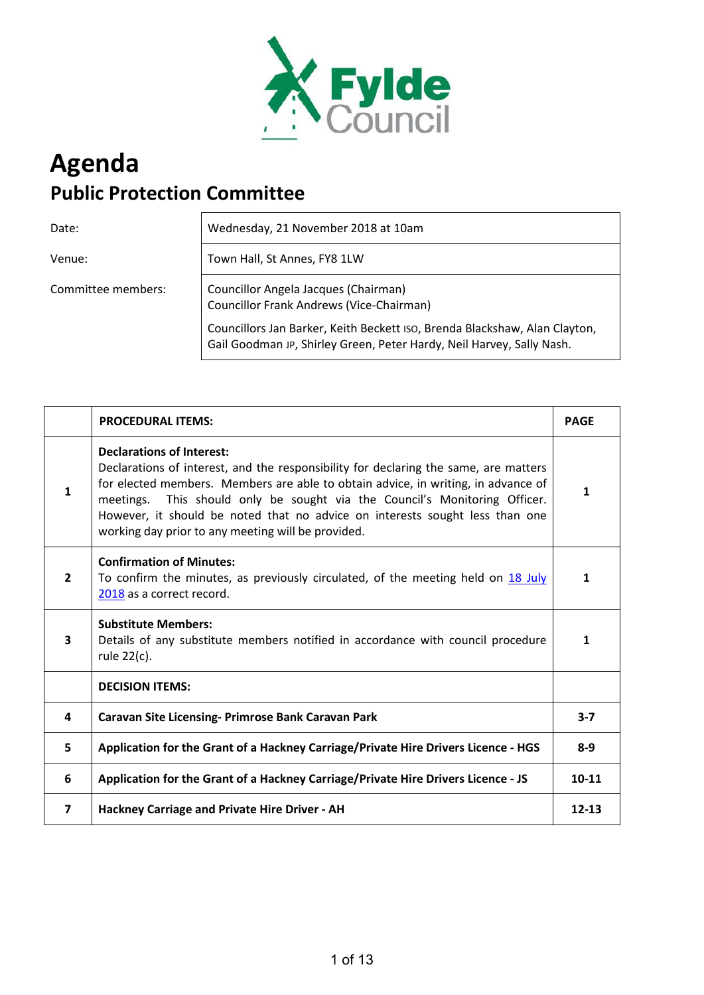

# **Agenda Public Protection Committee**

Date: Wednesday, 21 November 2018 at 10am

Venue: **Town Hall, St Annes, FY8 1LW** 

Committee members: Councillor Angela Jacques (Chairman) Councillor Frank Andrews (Vice-Chairman)

> Councillors Jan Barker, Keith Beckett ISO, Brenda Blackshaw, Alan Clayton, Gail Goodman JP, Shirley Green, Peter Hardy, Neil Harvey, Sally Nash.

|                         | <b>PROCEDURAL ITEMS:</b>                                                                                                                                                                                                                                                                                                                                                                                                             | <b>PAGE</b>  |
|-------------------------|--------------------------------------------------------------------------------------------------------------------------------------------------------------------------------------------------------------------------------------------------------------------------------------------------------------------------------------------------------------------------------------------------------------------------------------|--------------|
| $\mathbf{1}$            | <b>Declarations of Interest:</b><br>Declarations of interest, and the responsibility for declaring the same, are matters<br>for elected members. Members are able to obtain advice, in writing, in advance of<br>This should only be sought via the Council's Monitoring Officer.<br>meetings.<br>However, it should be noted that no advice on interests sought less than one<br>working day prior to any meeting will be provided. | 1            |
| $\overline{2}$          | <b>Confirmation of Minutes:</b><br>To confirm the minutes, as previously circulated, of the meeting held on 18 July<br>2018 as a correct record.                                                                                                                                                                                                                                                                                     | 1            |
| 3                       | <b>Substitute Members:</b><br>Details of any substitute members notified in accordance with council procedure<br>rule 22(c).                                                                                                                                                                                                                                                                                                         | $\mathbf{1}$ |
|                         | <b>DECISION ITEMS:</b>                                                                                                                                                                                                                                                                                                                                                                                                               |              |
| 4                       | Caravan Site Licensing- Primrose Bank Caravan Park                                                                                                                                                                                                                                                                                                                                                                                   | $3 - 7$      |
| 5                       | Application for the Grant of a Hackney Carriage/Private Hire Drivers Licence - HGS                                                                                                                                                                                                                                                                                                                                                   | $8 - 9$      |
| 6                       | Application for the Grant of a Hackney Carriage/Private Hire Drivers Licence - JS                                                                                                                                                                                                                                                                                                                                                    | $10 - 11$    |
| $\overline{\mathbf{z}}$ | Hackney Carriage and Private Hire Driver - AH                                                                                                                                                                                                                                                                                                                                                                                        | $12 - 13$    |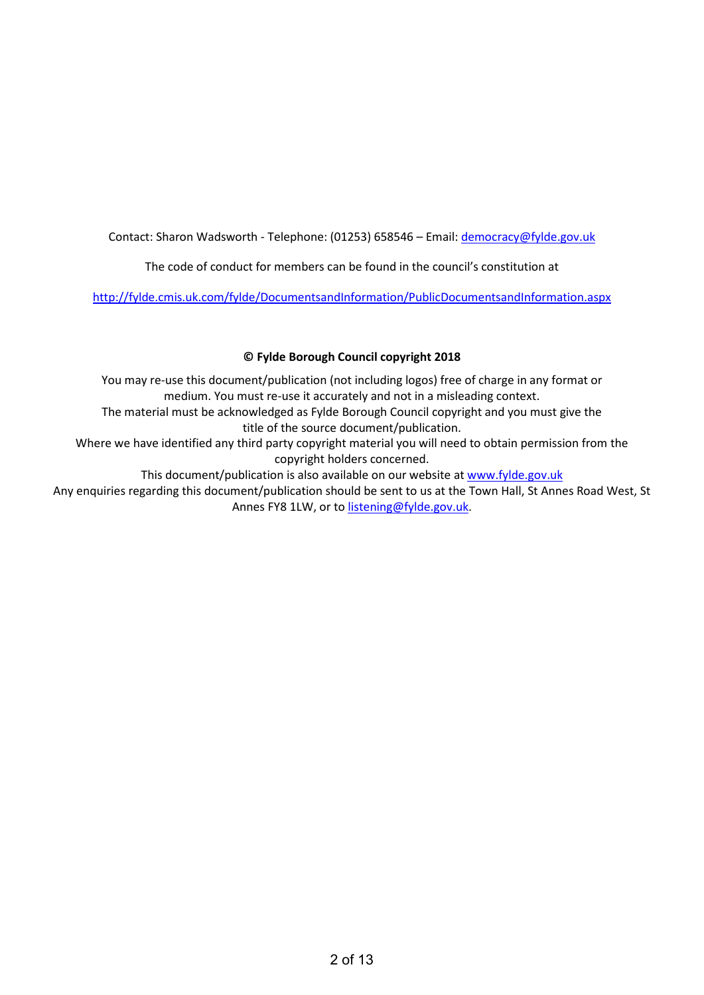Contact: Sharon Wadsworth - Telephone: (01253) 658546 - Email: democracy@fylde.gov.uk

The code of conduct for members can be found in the council's constitution at

<http://fylde.cmis.uk.com/fylde/DocumentsandInformation/PublicDocumentsandInformation.aspx>

# **© Fylde Borough Council copyright 2018**

You may re-use this document/publication (not including logos) free of charge in any format or medium. You must re-use it accurately and not in a misleading context. The material must be acknowledged as Fylde Borough Council copyright and you must give the

title of the source document/publication.

Where we have identified any third party copyright material you will need to obtain permission from the copyright holders concerned.

This document/publication is also available on our website at [www.fylde.gov.uk](http://www.fylde.gov.uk/) 

Any enquiries regarding this document/publication should be sent to us at the Town Hall, St Annes Road West, St Annes FY8 1LW, or to [listening@fylde.gov.uk.](mailto:listening@fylde.gov.uk)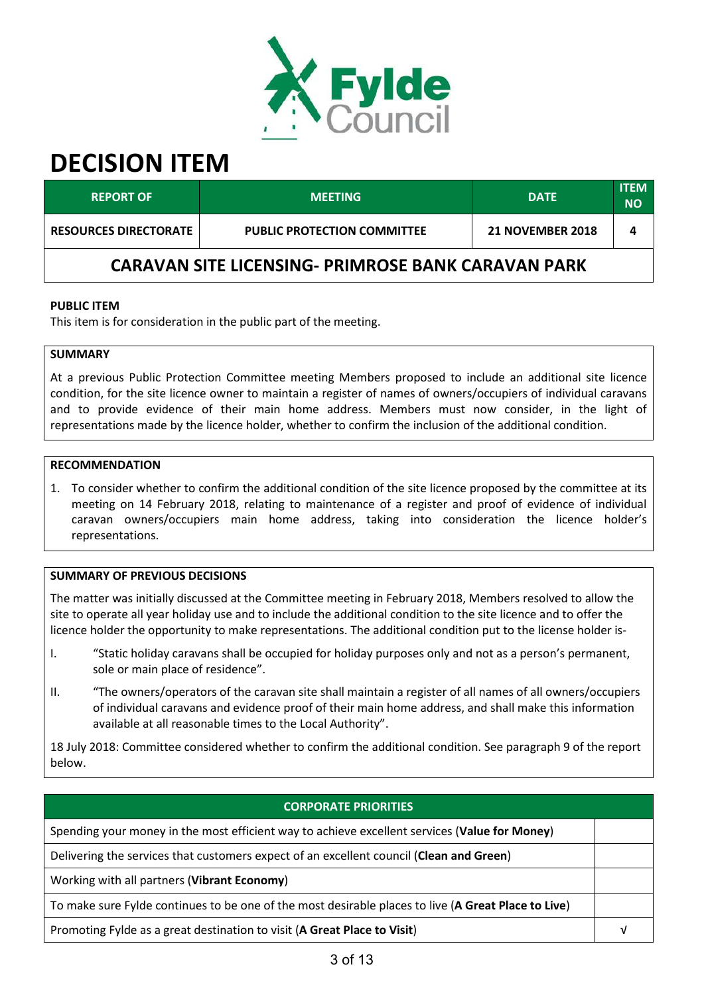

| <b>REPORT OF</b>                                          | <b>MEETING</b>                     | <b>DATE</b>             | <b>ITEM</b><br><b>NO</b> |  |
|-----------------------------------------------------------|------------------------------------|-------------------------|--------------------------|--|
| <b>RESOURCES DIRECTORATE</b>                              | <b>PUBLIC PROTECTION COMMITTEE</b> | <b>21 NOVEMBER 2018</b> |                          |  |
| <b>CARAVAN SITE LICENSING- PRIMROSE BANK CARAVAN PARK</b> |                                    |                         |                          |  |

#### **PUBLIC ITEM**

This item is for consideration in the public part of the meeting.

## **SUMMARY**

At a previous Public Protection Committee meeting Members proposed to include an additional site licence condition, for the site licence owner to maintain a register of names of owners/occupiers of individual caravans and to provide evidence of their main home address. Members must now consider, in the light of representations made by the licence holder, whether to confirm the inclusion of the additional condition.

### **RECOMMENDATION**

1. To consider whether to confirm the additional condition of the site licence proposed by the committee at its meeting on 14 February 2018, relating to maintenance of a register and proof of evidence of individual caravan owners/occupiers main home address, taking into consideration the licence holder's representations.

#### **SUMMARY OF PREVIOUS DECISIONS**

The matter was initially discussed at the Committee meeting in February 2018, Members resolved to allow the site to operate all year holiday use and to include the additional condition to the site licence and to offer the licence holder the opportunity to make representations. The additional condition put to the license holder is-

- I. "Static holiday caravans shall be occupied for holiday purposes only and not as a person's permanent, sole or main place of residence".
- II. "The owners/operators of the caravan site shall maintain a register of all names of all owners/occupiers of individual caravans and evidence proof of their main home address, and shall make this information available at all reasonable times to the Local Authority".

18 July 2018: Committee considered whether to confirm the additional condition. See paragraph 9 of the report below.

# **CORPORATE PRIORITIES**

Spending your money in the most efficient way to achieve excellent services (**Value for Money**)

Delivering the services that customers expect of an excellent council (**Clean and Green**)

Working with all partners (**Vibrant Economy**)

To make sure Fylde continues to be one of the most desirable places to live (**A Great Place to Live**)

Promoting Fylde as a great destination to visit (**A Great Place to Visit**) √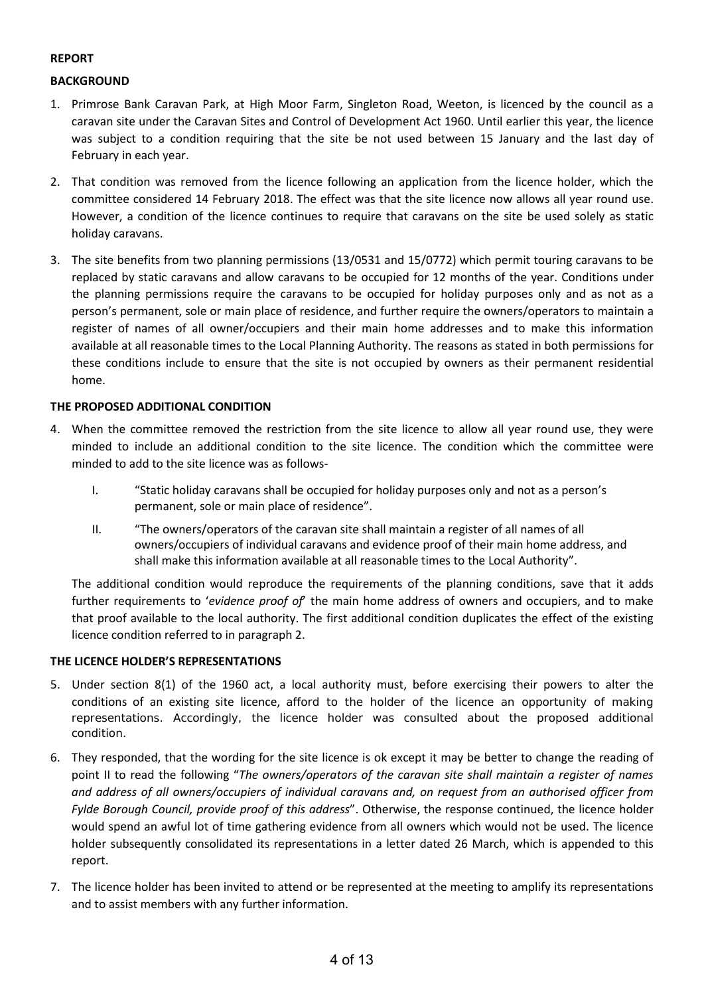## **REPORT**

## **BACKGROUND**

- 1. Primrose Bank Caravan Park, at High Moor Farm, Singleton Road, Weeton, is licenced by the council as a caravan site under the Caravan Sites and Control of Development Act 1960. Until earlier this year, the licence was subject to a condition requiring that the site be not used between 15 January and the last day of February in each year.
- 2. That condition was removed from the licence following an application from the licence holder, which the committee considered 14 February 2018. The effect was that the site licence now allows all year round use. However, a condition of the licence continues to require that caravans on the site be used solely as static holiday caravans.
- 3. The site benefits from two planning permissions (13/0531 and 15/0772) which permit touring caravans to be replaced by static caravans and allow caravans to be occupied for 12 months of the year. Conditions under the planning permissions require the caravans to be occupied for holiday purposes only and as not as a person's permanent, sole or main place of residence, and further require the owners/operators to maintain a register of names of all owner/occupiers and their main home addresses and to make this information available at all reasonable times to the Local Planning Authority. The reasons as stated in both permissions for these conditions include to ensure that the site is not occupied by owners as their permanent residential home.

### **THE PROPOSED ADDITIONAL CONDITION**

- 4. When the committee removed the restriction from the site licence to allow all year round use, they were minded to include an additional condition to the site licence. The condition which the committee were minded to add to the site licence was as follows-
	- I. "Static holiday caravans shall be occupied for holiday purposes only and not as a person's permanent, sole or main place of residence".
	- II. "The owners/operators of the caravan site shall maintain a register of all names of all owners/occupiers of individual caravans and evidence proof of their main home address, and shall make this information available at all reasonable times to the Local Authority".

The additional condition would reproduce the requirements of the planning conditions, save that it adds further requirements to '*evidence proof of*' the main home address of owners and occupiers, and to make that proof available to the local authority. The first additional condition duplicates the effect of the existing licence condition referred to in paragraph 2.

#### **THE LICENCE HOLDER'S REPRESENTATIONS**

- 5. Under section 8(1) of the 1960 act, a local authority must, before exercising their powers to alter the conditions of an existing site licence, afford to the holder of the licence an opportunity of making representations. Accordingly, the licence holder was consulted about the proposed additional condition.
- 6. They responded, that the wording for the site licence is ok except it may be better to change the reading of point II to read the following "*The owners/operators of the caravan site shall maintain a register of names and address of all owners/occupiers of individual caravans and, on request from an authorised officer from Fylde Borough Council, provide proof of this address*". Otherwise, the response continued, the licence holder would spend an awful lot of time gathering evidence from all owners which would not be used. The licence holder subsequently consolidated its representations in a letter dated 26 March, which is appended to this report.
- 7. The licence holder has been invited to attend or be represented at the meeting to amplify its representations and to assist members with any further information.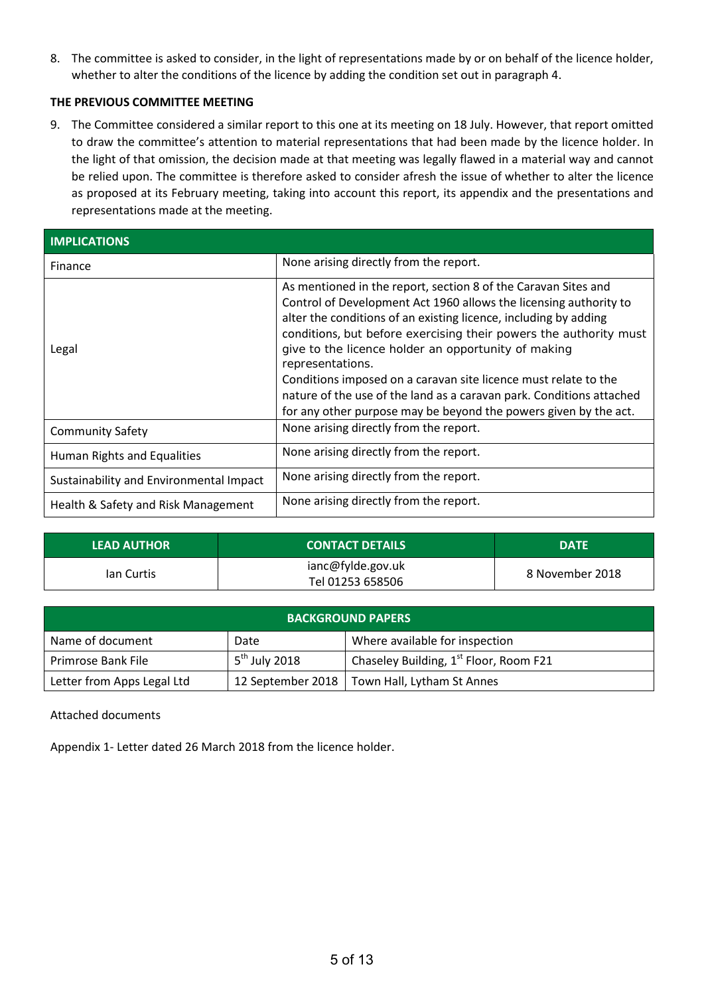8. The committee is asked to consider, in the light of representations made by or on behalf of the licence holder, whether to alter the conditions of the licence by adding the condition set out in paragraph 4.

## **THE PREVIOUS COMMITTEE MEETING**

9. The Committee considered a similar report to this one at its meeting on 18 July. However, that report omitted to draw the committee's attention to material representations that had been made by the licence holder. In the light of that omission, the decision made at that meeting was legally flawed in a material way and cannot be relied upon. The committee is therefore asked to consider afresh the issue of whether to alter the licence as proposed at its February meeting, taking into account this report, its appendix and the presentations and representations made at the meeting.

| <b>IMPLICATIONS</b>                     |                                                                                                                                                                                                                                                                                                                                                                                                                                                                                                                                                                        |
|-----------------------------------------|------------------------------------------------------------------------------------------------------------------------------------------------------------------------------------------------------------------------------------------------------------------------------------------------------------------------------------------------------------------------------------------------------------------------------------------------------------------------------------------------------------------------------------------------------------------------|
| Finance                                 | None arising directly from the report.                                                                                                                                                                                                                                                                                                                                                                                                                                                                                                                                 |
| Legal                                   | As mentioned in the report, section 8 of the Caravan Sites and<br>Control of Development Act 1960 allows the licensing authority to<br>alter the conditions of an existing licence, including by adding<br>conditions, but before exercising their powers the authority must<br>give to the licence holder an opportunity of making<br>representations.<br>Conditions imposed on a caravan site licence must relate to the<br>nature of the use of the land as a caravan park. Conditions attached<br>for any other purpose may be beyond the powers given by the act. |
| <b>Community Safety</b>                 | None arising directly from the report.                                                                                                                                                                                                                                                                                                                                                                                                                                                                                                                                 |
| Human Rights and Equalities             | None arising directly from the report.                                                                                                                                                                                                                                                                                                                                                                                                                                                                                                                                 |
| Sustainability and Environmental Impact | None arising directly from the report.                                                                                                                                                                                                                                                                                                                                                                                                                                                                                                                                 |
| Health & Safety and Risk Management     | None arising directly from the report.                                                                                                                                                                                                                                                                                                                                                                                                                                                                                                                                 |

| <b>LEAD AUTHOR</b> | <b>CONTACT DETAILS</b> | <b>DATE</b>     |
|--------------------|------------------------|-----------------|
| lan Curtis         | ianc@fylde.gov.uk      | 8 November 2018 |
|                    | Tel 01253 658506       |                 |

| <b>BACKGROUND PAPERS</b>   |                 |                                                    |  |
|----------------------------|-----------------|----------------------------------------------------|--|
| Name of document           | Date            | Where available for inspection                     |  |
| Primrose Bank File         | $5th$ July 2018 | Chaseley Building, 1 <sup>st</sup> Floor, Room F21 |  |
| Letter from Apps Legal Ltd |                 | 12 September 2018   Town Hall, Lytham St Annes     |  |

Attached documents

Appendix 1- Letter dated 26 March 2018 from the licence holder.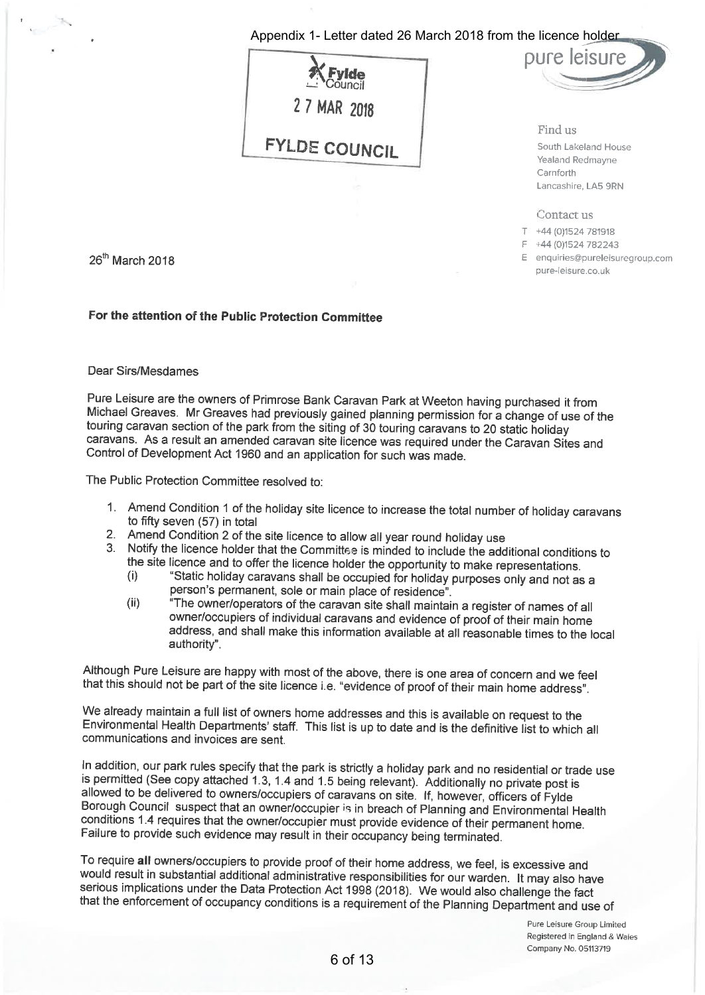# Appendix 1- Letter dated 26 March 2018 from the licence holder





Find us South Lakeland House Yealand Redmayne Carnforth Lancashire, LA5 9RN

Contact us

T +44 (0)1524 781918

F +44 (0)1524 782243

E enquiries@pureleisuregroup.com pure-leisure.co.uk

26<sup>th</sup> March 2018

# For the attention of the Public Protection Committee

#### Dear Sirs/Mesdames

Pure Leisure are the owners of Primrose Bank Caravan Park at Weeton having purchased it from Michael Greaves. Mr Greaves had previously gained planning permission for a change of use of the touring caravan section of the park from the siting of 30 touring caravans to 20 static holiday caravans. As a result an amended caravan site licence was required under the Caravan Sites and Control of Development Act 1960 and an application for such was made.

The Public Protection Committee resolved to:

- 1. Amend Condition 1 of the holiday site licence to increase the total number of holiday caravans to fifty seven (57) in total
- 2. Amend Condition 2 of the site licence to allow all year round holiday use
- 3. Notify the licence holder that the Committee is minded to include the additional conditions to the site licence and to offer the licence holder the opportunity to make representations.
	- "Static holiday caravans shall be occupied for holiday purposes only and not as a  $(i)$ person's permanent, sole or main place of residence".
	- "The owner/operators of the caravan site shall maintain a register of names of all  $(ii)$ owner/occupiers of individual caravans and evidence of proof of their main home address, and shall make this information available at all reasonable times to the local authority".

Although Pure Leisure are happy with most of the above, there is one area of concern and we feel that this should not be part of the site licence i.e. "evidence of proof of their main home address".

We already maintain a full list of owners home addresses and this is available on request to the Environmental Health Departments' staff. This list is up to date and is the definitive list to which all communications and invoices are sent.

In addition, our park rules specify that the park is strictly a holiday park and no residential or trade use is permitted (See copy attached 1.3, 1.4 and 1.5 being relevant). Additionally no private post is allowed to be delivered to owners/occupiers of caravans on site. If, however, officers of Fylde Borough Council suspect that an owner/occupier is in breach of Planning and Environmental Health conditions 1.4 requires that the owner/occupier must provide evidence of their permanent home. Failure to provide such evidence may result in their occupancy being terminated.

To require all owners/occupiers to provide proof of their home address, we feel, is excessive and would result in substantial additional administrative responsibilities for our warden. It may also have serious implications under the Data Protection Act 1998 (2018). We would also challenge the fact that the enforcement of occupancy conditions is a requirement of the Planning Department and use of

> Pure Leisure Group Limited Registered in England & Wales Company No. 05113719

## 6 of 13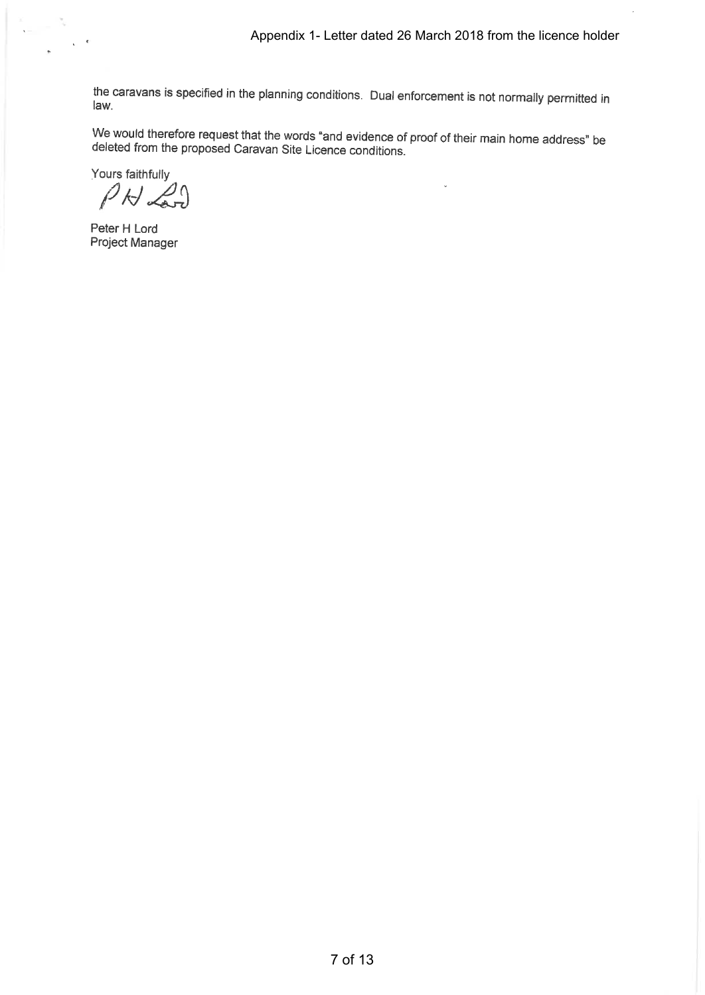l.

 $\ddot{\phantom{a}}$ 

the caravans is specified in the planning conditions. Dual enforcement is not normally permitted in law.

We would therefore request that the words "and evidence of proof of their main home address" be<br>deleted from the proposed Carouan Site Lierges servilli deleted from the proposed Caravan Site Licence conditions.

Yours faithfully

 $P N 21$ 

Peter H Lord Project Manager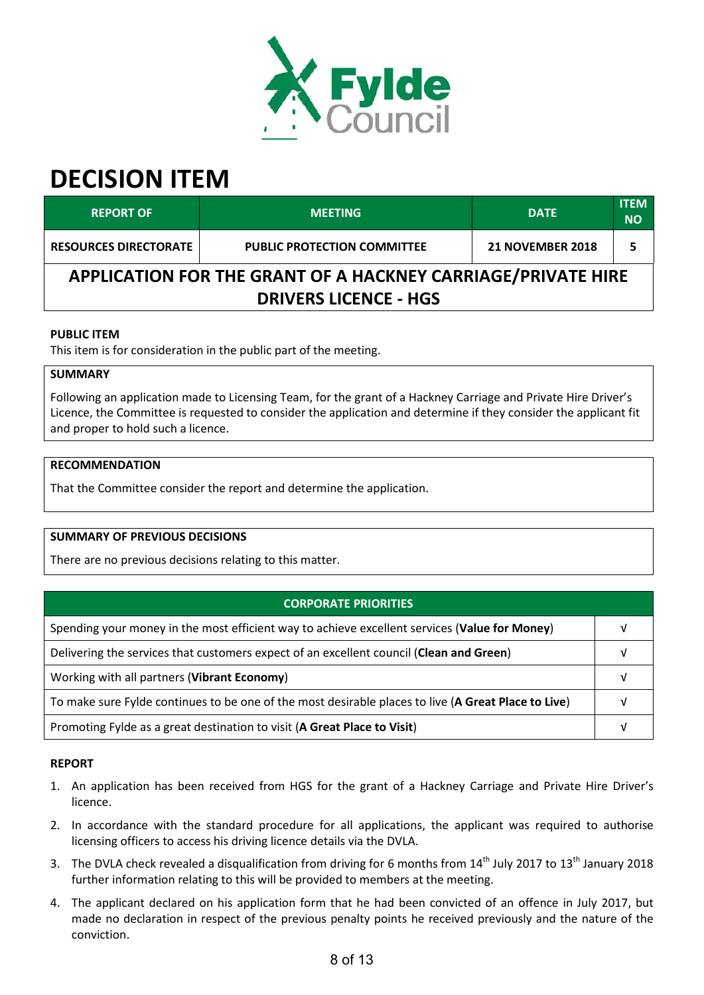

| <b>REPORT OF</b>                                             | <b>MEETING</b>                     | <b>DATE</b>             | <b>ITEM</b><br><b>NO</b> |  |
|--------------------------------------------------------------|------------------------------------|-------------------------|--------------------------|--|
| <b>RESOURCES DIRECTORATE</b>                                 | <b>PUBLIC PROTECTION COMMITTEE</b> | <b>21 NOVEMBER 2018</b> |                          |  |
| APPLICATION FOR THE GRANT OF A HACKNEY CARRIAGE/PRIVATE HIRE |                                    |                         |                          |  |
| <b>DRIVERS LICENCE - HGS</b>                                 |                                    |                         |                          |  |

# **PUBLIC ITEM**

This item is for consideration in the public part of the meeting.

### **SUMMARY**

Following an application made to Licensing Team, for the grant of a Hackney Carriage and Private Hire Driver's Licence, the Committee is requested to consider the application and determine if they consider the applicant fit and proper to hold such a licence.

# **RECOMMENDATION**

That the Committee consider the report and determine the application.

# **SUMMARY OF PREVIOUS DECISIONS**

There are no previous decisions relating to this matter.

| <b>CORPORATE PRIORITIES</b>                                                                         |  |
|-----------------------------------------------------------------------------------------------------|--|
| Spending your money in the most efficient way to achieve excellent services (Value for Money)       |  |
| Delivering the services that customers expect of an excellent council (Clean and Green)             |  |
| Working with all partners (Vibrant Economy)                                                         |  |
| To make sure Fylde continues to be one of the most desirable places to live (A Great Place to Live) |  |
| Promoting Fylde as a great destination to visit (A Great Place to Visit)                            |  |

#### **REPORT**

- 1. An application has been received from HGS for the grant of a Hackney Carriage and Private Hire Driver's licence.
- 2. In accordance with the standard procedure for all applications, the applicant was required to authorise licensing officers to access his driving licence details via the DVLA.
- 3. The DVLA check revealed a disqualification from driving for 6 months from  $14<sup>th</sup>$  July 2017 to  $13<sup>th</sup>$  January 2018 further information relating to this will be provided to members at the meeting.
- 4. The applicant declared on his application form that he had been convicted of an offence in July 2017, but made no declaration in respect of the previous penalty points he received previously and the nature of the conviction.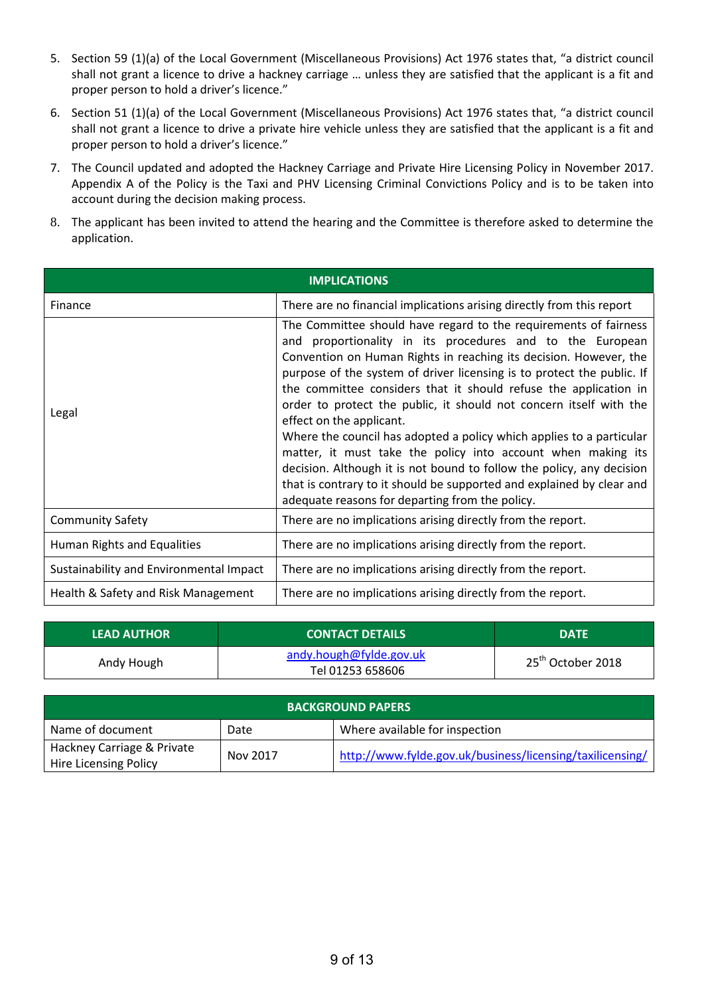- 5. Section 59 (1)(a) of the Local Government (Miscellaneous Provisions) Act 1976 states that, "a district council shall not grant a licence to drive a hackney carriage … unless they are satisfied that the applicant is a fit and proper person to hold a driver's licence."
- 6. Section 51 (1)(a) of the Local Government (Miscellaneous Provisions) Act 1976 states that, "a district council shall not grant a licence to drive a private hire vehicle unless they are satisfied that the applicant is a fit and proper person to hold a driver's licence."
- 7. The Council updated and adopted the Hackney Carriage and Private Hire Licensing Policy in November 2017. Appendix A of the Policy is the Taxi and PHV Licensing Criminal Convictions Policy and is to be taken into account during the decision making process.
- 8. The applicant has been invited to attend the hearing and the Committee is therefore asked to determine the application.

| <b>IMPLICATIONS</b>                     |                                                                                                                                                                                                                                                                                                                                                                                                                                                                                                                                                                                                                                                                                                                                                                                                 |  |  |
|-----------------------------------------|-------------------------------------------------------------------------------------------------------------------------------------------------------------------------------------------------------------------------------------------------------------------------------------------------------------------------------------------------------------------------------------------------------------------------------------------------------------------------------------------------------------------------------------------------------------------------------------------------------------------------------------------------------------------------------------------------------------------------------------------------------------------------------------------------|--|--|
| Finance                                 | There are no financial implications arising directly from this report                                                                                                                                                                                                                                                                                                                                                                                                                                                                                                                                                                                                                                                                                                                           |  |  |
| Legal                                   | The Committee should have regard to the requirements of fairness<br>and proportionality in its procedures and to the European<br>Convention on Human Rights in reaching its decision. However, the<br>purpose of the system of driver licensing is to protect the public. If<br>the committee considers that it should refuse the application in<br>order to protect the public, it should not concern itself with the<br>effect on the applicant.<br>Where the council has adopted a policy which applies to a particular<br>matter, it must take the policy into account when making its<br>decision. Although it is not bound to follow the policy, any decision<br>that is contrary to it should be supported and explained by clear and<br>adequate reasons for departing from the policy. |  |  |
| <b>Community Safety</b>                 | There are no implications arising directly from the report.                                                                                                                                                                                                                                                                                                                                                                                                                                                                                                                                                                                                                                                                                                                                     |  |  |
| Human Rights and Equalities             | There are no implications arising directly from the report.                                                                                                                                                                                                                                                                                                                                                                                                                                                                                                                                                                                                                                                                                                                                     |  |  |
| Sustainability and Environmental Impact | There are no implications arising directly from the report.                                                                                                                                                                                                                                                                                                                                                                                                                                                                                                                                                                                                                                                                                                                                     |  |  |
| Health & Safety and Risk Management     | There are no implications arising directly from the report.                                                                                                                                                                                                                                                                                                                                                                                                                                                                                                                                                                                                                                                                                                                                     |  |  |

| <b>LEAD AUTHOR</b> | <b>CONTACT DETAILS</b>                      | <b>DATE</b>                   |
|--------------------|---------------------------------------------|-------------------------------|
| Andy Hough         | andy.hough@fylde.gov.uk<br>Tel 01253 658606 | 25 <sup>th</sup> October 2018 |

| <b>BACKGROUND PAPERS</b>                            |          |                                                           |  |
|-----------------------------------------------------|----------|-----------------------------------------------------------|--|
| Name of document                                    | Date     | Where available for inspection                            |  |
| Hackney Carriage & Private<br>Hire Licensing Policy | Nov 2017 | http://www.fylde.gov.uk/business/licensing/taxilicensing/ |  |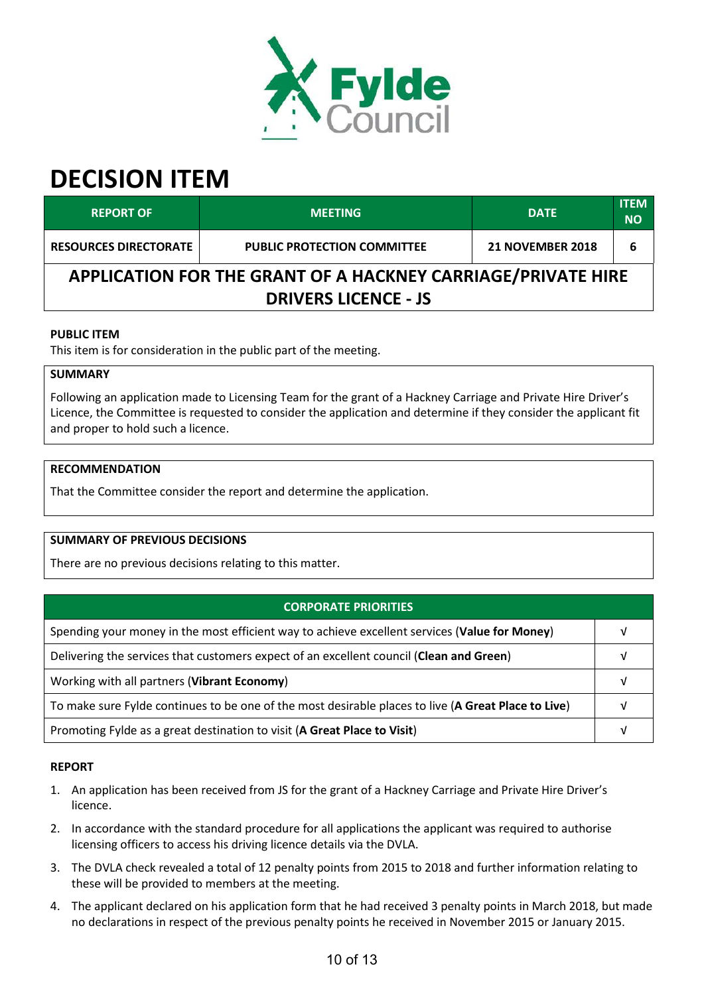

| <b>REPORT OF</b>                                             | <b>MEETING</b>                     | <b>DATE</b>             | <b>ITEM</b><br><b>NO</b> |  |
|--------------------------------------------------------------|------------------------------------|-------------------------|--------------------------|--|
| <b>RESOURCES DIRECTORATE</b>                                 | <b>PUBLIC PROTECTION COMMITTEE</b> | <b>21 NOVEMBER 2018</b> | 6                        |  |
| APPLICATION FOR THE GRANT OF A HACKNEY CARRIAGE/PRIVATE HIRE |                                    |                         |                          |  |
| <b>DRIVERS LICENCE - JS</b>                                  |                                    |                         |                          |  |

# **PUBLIC ITEM**

This item is for consideration in the public part of the meeting.

### **SUMMARY**

Following an application made to Licensing Team for the grant of a Hackney Carriage and Private Hire Driver's Licence, the Committee is requested to consider the application and determine if they consider the applicant fit and proper to hold such a licence.

### **RECOMMENDATION**

That the Committee consider the report and determine the application.

# **SUMMARY OF PREVIOUS DECISIONS**

There are no previous decisions relating to this matter.

| <b>CORPORATE PRIORITIES</b>                                                                         |  |
|-----------------------------------------------------------------------------------------------------|--|
| Spending your money in the most efficient way to achieve excellent services (Value for Money)       |  |
| Delivering the services that customers expect of an excellent council (Clean and Green)             |  |
| Working with all partners (Vibrant Economy)                                                         |  |
| To make sure Fylde continues to be one of the most desirable places to live (A Great Place to Live) |  |
| Promoting Fylde as a great destination to visit (A Great Place to Visit)                            |  |

#### **REPORT**

- 1. An application has been received from JS for the grant of a Hackney Carriage and Private Hire Driver's licence.
- 2. In accordance with the standard procedure for all applications the applicant was required to authorise licensing officers to access his driving licence details via the DVLA.
- 3. The DVLA check revealed a total of 12 penalty points from 2015 to 2018 and further information relating to these will be provided to members at the meeting.
- 4. The applicant declared on his application form that he had received 3 penalty points in March 2018, but made no declarations in respect of the previous penalty points he received in November 2015 or January 2015.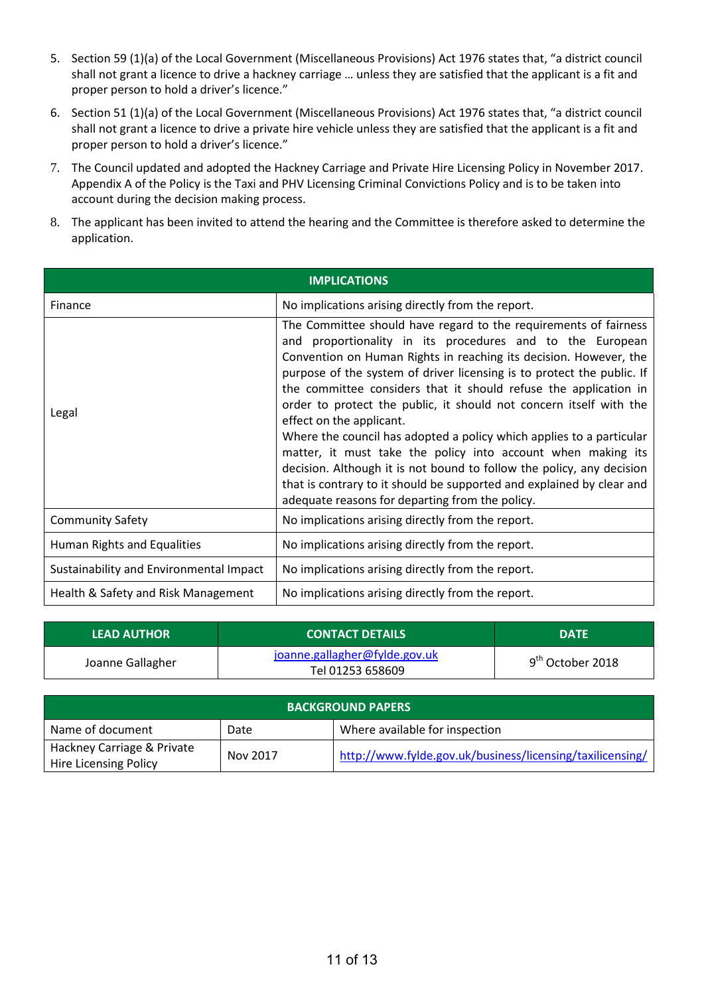- 5. Section 59 (1)(a) of the Local Government (Miscellaneous Provisions) Act 1976 states that, "a district council shall not grant a licence to drive a hackney carriage … unless they are satisfied that the applicant is a fit and proper person to hold a driver's licence."
- 6. Section 51 (1)(a) of the Local Government (Miscellaneous Provisions) Act 1976 states that, "a district council shall not grant a licence to drive a private hire vehicle unless they are satisfied that the applicant is a fit and proper person to hold a driver's licence."
- 7. The Council updated and adopted the Hackney Carriage and Private Hire Licensing Policy in November 2017. Appendix A of the Policy is the Taxi and PHV Licensing Criminal Convictions Policy and is to be taken into account during the decision making process.
- 8. The applicant has been invited to attend the hearing and the Committee is therefore asked to determine the application.

| <b>IMPLICATIONS</b>                     |                                                                                                                                                                                                                                                                                                                                                                                                                                                                                                                                                                                                                                                                                                                                                                                                 |  |
|-----------------------------------------|-------------------------------------------------------------------------------------------------------------------------------------------------------------------------------------------------------------------------------------------------------------------------------------------------------------------------------------------------------------------------------------------------------------------------------------------------------------------------------------------------------------------------------------------------------------------------------------------------------------------------------------------------------------------------------------------------------------------------------------------------------------------------------------------------|--|
| Finance                                 | No implications arising directly from the report.                                                                                                                                                                                                                                                                                                                                                                                                                                                                                                                                                                                                                                                                                                                                               |  |
| Legal                                   | The Committee should have regard to the requirements of fairness<br>and proportionality in its procedures and to the European<br>Convention on Human Rights in reaching its decision. However, the<br>purpose of the system of driver licensing is to protect the public. If<br>the committee considers that it should refuse the application in<br>order to protect the public, it should not concern itself with the<br>effect on the applicant.<br>Where the council has adopted a policy which applies to a particular<br>matter, it must take the policy into account when making its<br>decision. Although it is not bound to follow the policy, any decision<br>that is contrary to it should be supported and explained by clear and<br>adequate reasons for departing from the policy. |  |
| <b>Community Safety</b>                 | No implications arising directly from the report.                                                                                                                                                                                                                                                                                                                                                                                                                                                                                                                                                                                                                                                                                                                                               |  |
| <b>Human Rights and Equalities</b>      | No implications arising directly from the report.                                                                                                                                                                                                                                                                                                                                                                                                                                                                                                                                                                                                                                                                                                                                               |  |
| Sustainability and Environmental Impact | No implications arising directly from the report.                                                                                                                                                                                                                                                                                                                                                                                                                                                                                                                                                                                                                                                                                                                                               |  |
| Health & Safety and Risk Management     | No implications arising directly from the report.                                                                                                                                                                                                                                                                                                                                                                                                                                                                                                                                                                                                                                                                                                                                               |  |

| <b>LEAD AUTHOR</b> | <b>CONTACT DETAILS</b>                            | <b>DATE</b>        |
|--------------------|---------------------------------------------------|--------------------|
| Joanne Gallagher   | joanne.gallagher@fylde.gov.uk<br>Tel 01253 658609 | $9th$ October 2018 |

| <b>BACKGROUND PAPERS</b>                            |          |                                                           |
|-----------------------------------------------------|----------|-----------------------------------------------------------|
| Name of document                                    | Date     | Where available for inspection                            |
| Hackney Carriage & Private<br>Hire Licensing Policy | Nov 2017 | http://www.fylde.gov.uk/business/licensing/taxilicensing/ |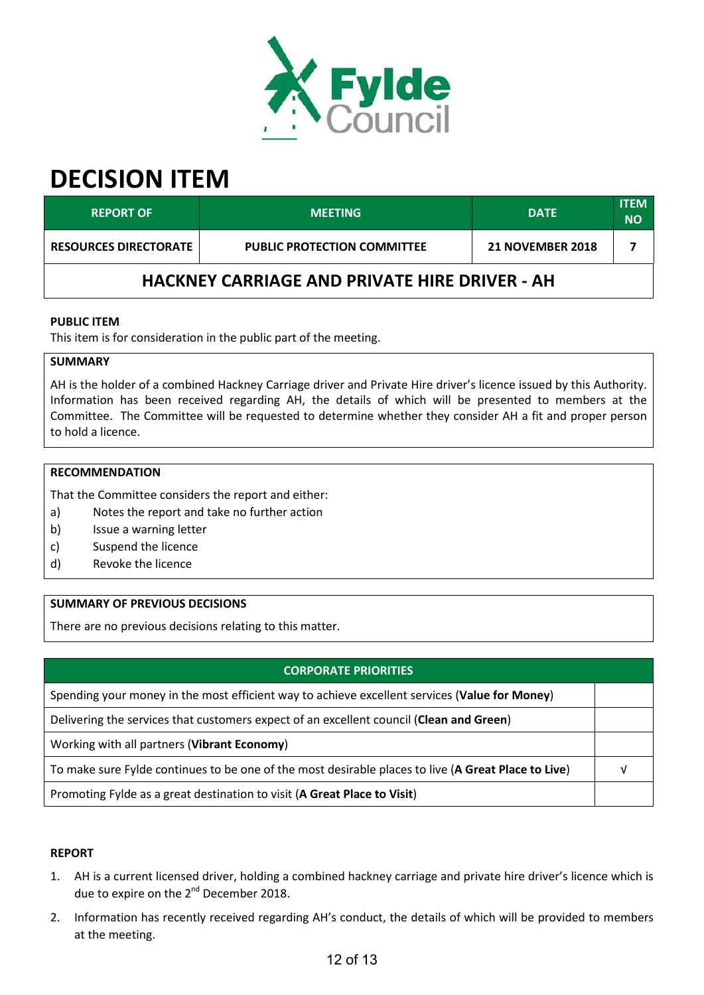

| <b>REPORT OF</b>                                     | <b>MEETING</b>                     | <b>DATE</b>             | <b>ITEM</b><br><b>NO</b> |
|------------------------------------------------------|------------------------------------|-------------------------|--------------------------|
| <b>RESOURCES DIRECTORATE</b>                         | <b>PUBLIC PROTECTION COMMITTEE</b> | <b>21 NOVEMBER 2018</b> |                          |
| <b>HACKNEY CARRIAGE AND PRIVATE HIRE DRIVER - AH</b> |                                    |                         |                          |

# **PUBLIC ITEM**

This item is for consideration in the public part of the meeting.

### **SUMMARY**

AH is the holder of a combined Hackney Carriage driver and Private Hire driver's licence issued by this Authority. Information has been received regarding AH, the details of which will be presented to members at the Committee. The Committee will be requested to determine whether they consider AH a fit and proper person to hold a licence.

#### **RECOMMENDATION**

That the Committee considers the report and either:

- a) Notes the report and take no further action
- b) Issue a warning letter
- c) Suspend the licence
- d) Revoke the licence

# **SUMMARY OF PREVIOUS DECISIONS**

There are no previous decisions relating to this matter.

# **CORPORATE PRIORITIES**

Spending your money in the most efficient way to achieve excellent services (**Value for Money**)

Delivering the services that customers expect of an excellent council (**Clean and Green**)

Working with all partners (**Vibrant Economy**)

To make sure Fylde continues to be one of the most desirable places to live (**A Great Place to Live**) √

Promoting Fylde as a great destination to visit (**A Great Place to Visit**)

#### **REPORT**

- 1. AH is a current licensed driver, holding a combined hackney carriage and private hire driver's licence which is due to expire on the 2<sup>nd</sup> December 2018.
- 2. Information has recently received regarding AH's conduct, the details of which will be provided to members at the meeting.